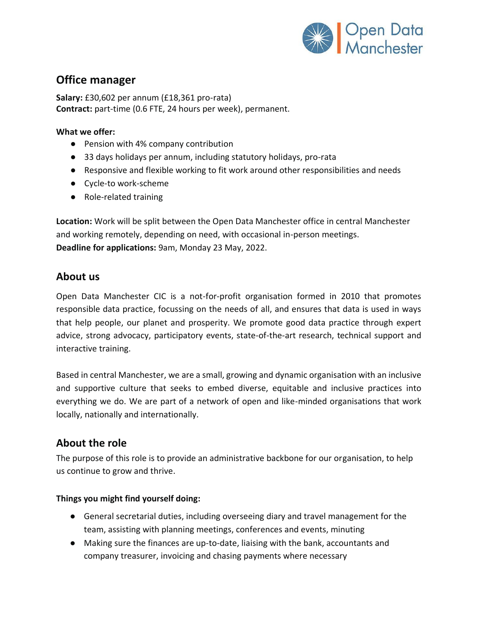

# **Office manager**

**Salary:** £30,602 per annum (£18,361 pro-rata) **Contract:** part-time (0.6 FTE, 24 hours per week), permanent.

#### **What we offer:**

- Pension with 4% company contribution
- 33 days holidays per annum, including statutory holidays, pro-rata
- Responsive and flexible working to fit work around other responsibilities and needs
- Cycle-to work-scheme
- Role-related training

**Location:** Work will be split between the Open Data Manchester office in central Manchester and working remotely, depending on need, with occasional in-person meetings. **Deadline for applications:** 9am, Monday 23 May, 2022.

## **About us**

Open Data Manchester CIC is a not-for-profit organisation formed in 2010 that promotes responsible data practice, focussing on the needs of all, and ensures that data is used in ways that help people, our planet and prosperity. We promote good data practice through expert advice, strong advocacy, participatory events, state-of-the-art research, technical support and interactive training.

Based in central Manchester, we are a small, growing and dynamic organisation with an inclusive and supportive culture that seeks to embed diverse, equitable and inclusive practices into everything we do. We are part of a network of open and like-minded organisations that work locally, nationally and internationally.

## **About the role**

The purpose of this role is to provide an administrative backbone for our organisation, to help us continue to grow and thrive.

### **Things you might find yourself doing:**

- General secretarial duties, including overseeing diary and travel management for the team, assisting with planning meetings, conferences and events, minuting
- Making sure the finances are up-to-date, liaising with the bank, accountants and company treasurer, invoicing and chasing payments where necessary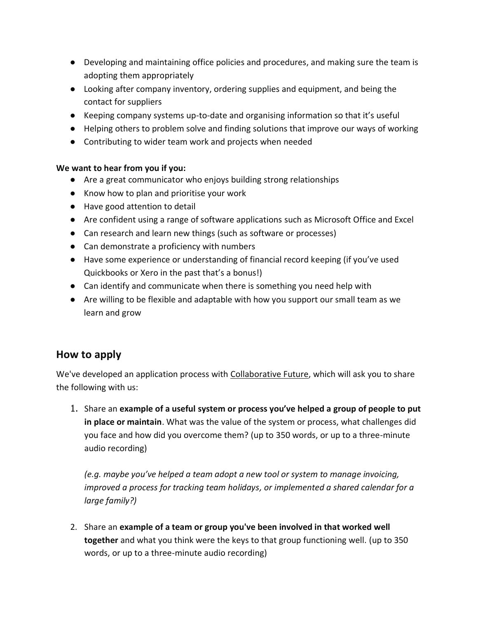- Developing and maintaining office policies and procedures, and making sure the team is adopting them appropriately
- Looking after company inventory, ordering supplies and equipment, and being the contact for suppliers
- Keeping company systems up-to-date and organising information so that it's useful
- Helping others to problem solve and finding solutions that improve our ways of working
- Contributing to wider team work and projects when needed

#### **We want to hear from you if you:**

- Are a great communicator who enjoys building strong relationships
- Know how to plan and prioritise your work
- Have good attention to detail
- Are confident using a range of software applications such as Microsoft Office and Excel
- Can research and learn new things (such as software or processes)
- Can demonstrate a proficiency with numbers
- Have some experience or understanding of financial record keeping (if you've used Quickbooks or Xero in the past that's a bonus!)
- Can identify and communicate when there is something you need help with
- Are willing to be flexible and adaptable with how you support our small team as we learn and grow

## **How to apply**

We've developed an application process with [Collaborative Future,](https://www.collaborativefuture.co.uk/) which will ask you to share the following with us:

1. Share an **example of a useful system or process you've helped a group of people to put in place or maintain**. What was the value of the system or process, what challenges did you face and how did you overcome them? (up to 350 words, or up to a three-minute audio recording)

*(e.g. maybe you've helped a team adopt a new tool or system to manage invoicing, improved a process for tracking team holidays, or implemented a shared calendar for a large family?)*

2. Share an **example of a team or group you've been involved in that worked well together** and what you think were the keys to that group functioning well. (up to 350 words, or up to a three-minute audio recording)